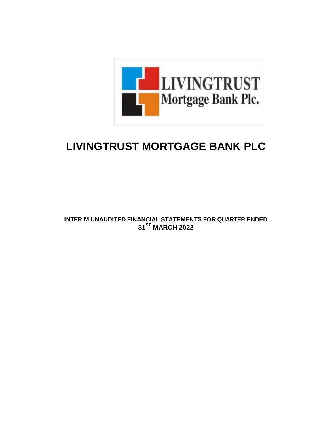

# **LIVINGTRUST MORTGAGE BANK PLC**

**INTERIM UNAUDITED FINANCIAL STATEMENTS FOR QUARTER ENDED 31ST MARCH 2022**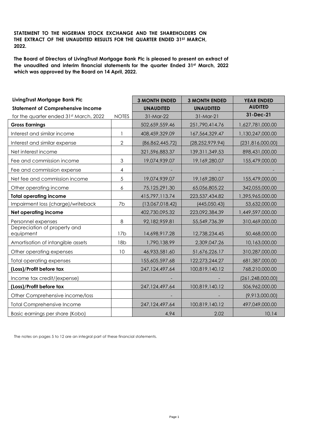# **STATEMENT TO THE NIGERIAN STOCK EXCHANGE AND THE SHAREHOLDERS ON THE EXTRACT OF THE UNAUDITED RESULTS FOR THE QUARTER ENDED 31ST MARCH, 2022.**

**The Board of Directors of LivingTrust Mortgage Bank Plc is pleased to present an extract of the unaudited and interim financial statements for the quarter Ended 31st March, 2022 which was approved by the Board on 14 April, 2022.**

| LivingTrust Mortgage Bank Plc             |                 | <b>3 MONTH ENDED</b> | <b>3 MONTH ENDED</b> | <b>YEAR ENDED</b>  |
|-------------------------------------------|-----------------|----------------------|----------------------|--------------------|
| <b>Statement of Comprehensive Income</b>  |                 | <b>UNAUDITED</b>     | <b>UNAUDITED</b>     | <b>AUDITED</b>     |
| for the quarter ended 31st March, 2022    | <b>NOTES</b>    | 31-Mar-22            | 31-Mar-21            | 31-Dec-21          |
| <b>Gross Earnings</b>                     |                 | 502,659,559.46       | 251,790,414.76       | 1,627,781,000.00   |
| Interest and similar income               | $\mathbf{1}$    | 408,459,329.09       | 167,564,329.47       | 1,130,247,000.00   |
| Interest and similar expense              | $\overline{2}$  | (86, 862, 445.72)    | (28, 252, 979.94)    | (231, 816, 000.00) |
| Net interest income                       |                 | 321,596,883.37       | 139, 311, 349.53     | 898,431,000.00     |
| Fee and commission income                 | 3               | 19,074,939.07        | 19,169,280.07        | 155,479,000.00     |
| Fee and commission expense                | $\overline{4}$  |                      |                      |                    |
| Net fee and commission income             | 5               | 19,074,939.07        | 19,169,280.07        | 155,479,000.00     |
| Other operating income                    | 6               | 75,125,291.30        | 65,056,805.22        | 342,055,000.00     |
| <b>Total operating income</b>             |                 | 415,797,113.74       | 223,537,434.82       | 1,395,965,000.00   |
| Impairment loss (charge)/writeback        | 7b              | (13,067,018.42)      | (445, 050.43)        | 53,632,000.00      |
| Net operating income                      |                 | 402,730,095.32       | 223,092,384.39       | 1,449,597,000.00   |
| Personnel expenses                        | 8               | 92,182,959.81        | 55, 549, 736. 39     | 310,469,000.00     |
| Depreciation of property and<br>equipment | 17 <sub>b</sub> | 14,698,917.28        | 12,738,234.45        | 50,468,000.00      |
| Amortisation of intangible assets         | 18 <sub>b</sub> | 1,790,138.99         | 2,309,047.26         | 10,163,000.00      |
| Other operating expenses                  | 10              | 46,933,581.60        | 51,676,226.17        | 310,287,000.00     |
| <b>Total operating expenses</b>           |                 | 155,605,597.68       | 122,273,244.27       | 681,387,000.00     |
| (Loss)/Profit before tax                  |                 | 247, 124, 497.64     | 100,819,140.12       | 768,210,000.00     |
| Income tax credit/(expense)               |                 |                      |                      | (261, 248, 000.00) |
| (Loss)/Profit before tax                  |                 | 247, 124, 497.64     | 100,819,140.12       | 506,962,000.00     |
| Other Comprehensive income/loss           |                 |                      |                      | (9,913,000.00)     |
| <b>Total Comprehensive Income</b>         |                 | 247,124,497.64       | 100,819,140.12       | 497,049,000.00     |
| Basic earnings per share (Kobo)           |                 | 4.94                 | 2.02                 | 10.14              |

The notes on pages 5 to 12 are an integral part of these financial statements.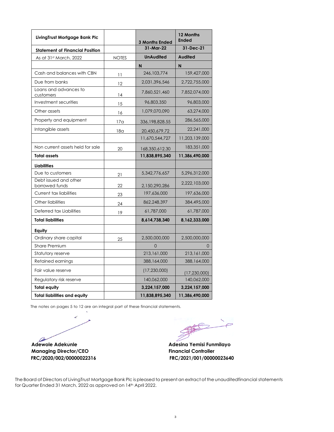| LivingTrust Mortgage Bank Plc           |                 | <b>3 Months Ended</b> | 12 Months<br><b>Ended</b> |
|-----------------------------------------|-----------------|-----------------------|---------------------------|
| <b>Statement of Financial Position</b>  |                 | 31-Mar-22             | 31-Dec-21                 |
| As at 31st March, 2022                  | <b>NOTES</b>    | <b>UnAudited</b>      | <b>Audited</b>            |
|                                         |                 | N                     | N                         |
| Cash and balances with CBN              | 11              | 246,103,774           | 159,427,000               |
| Due from banks                          | 12              | 2,031,396,546         | 2,722,755,000             |
| Loans and advances to<br>customers      | 14              | 7,860,521,460         | 7,852,074,000             |
| Investment securities                   | 15              | 96,803,350            | 96,803,000                |
| Other assets                            | 16              | 1,079,070,090         | 63,274,000                |
| Property and equipment                  | 17 <sub>a</sub> | 336,198,828.55        | 286,565,000               |
| Intangible assets                       | 18 <sub>a</sub> | 20,450,679.72         | 22,241,000                |
|                                         |                 | 11,670,544,727        | 11,203,139,000            |
| Non current assets held for sale        | 20              | 168,350,612.30        | 183,351,000               |
| Total assets                            |                 | 11,838,895,340        | 11,386,490,000            |
| <b>Liabilities</b>                      |                 |                       |                           |
| Due to customers                        | 21              | 5,342,776,657         | 5,296,312,000             |
| Debt issued and other<br>borrowed funds | 22              | 2,150,290,286         | 2,222,103,000             |
| <b>Current tax liabilities</b>          | 23              | 197,636,000           | 197,636,000               |
| Other liabilities                       | 24              | 862,248,397           | 384,495,000               |
| Deferred tax Liabilities                | 19              | 61,787,000            | 61,787,000                |
| <b>Total liabilities</b>                |                 | 8,614,738,340         | 8,162,333,000             |
| Equity                                  |                 |                       |                           |
| Ordinary share capital                  | 25              | 2,500,000,000         | 2,500,000,000             |
| <b>Share Premium</b>                    |                 | $\Omega$              | $\Omega$                  |
| Statutory reserve                       |                 | 213,161,000           | 213,161,000               |
| Retained earnings                       |                 | 388,164,000           | 388,164,000               |
| Fair value reserve                      |                 | (17, 230, 000)        | (17, 230, 000)            |
| Regulatory risk reserve                 |                 | 140,062,000           | 140,062,000               |
| Total equity                            |                 | 3,224,157,000         | 3,224,157,000             |
| <b>Total liabilities and equity</b>     |                 | 11,838,895,340        | 11,386,490,000            |

The notes on pages 5 to 12 are an integral part of these financial statements.

 $\epsilon$ Ø  **Adewole Adekunle Adesina Yemisi Funmilayo**

**Managing Director/CEO** Financial Controller  **FRC/2020/002/00000022316 FRC/2021/001/00000023640**

 $\frac{1}{\sqrt{2}}$ 

The Board of Directors of LivingTrust Mortgage Bank Plc is pleased to present an extract of the unauditedfinancial statements for Quarter Ended 31 March, 2022 as approved on 14th April 2022.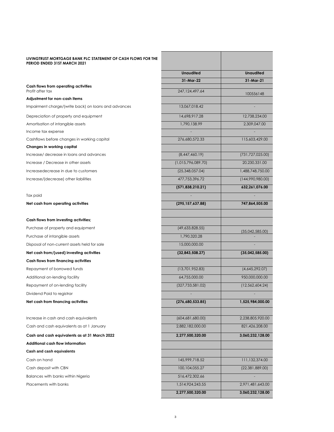#### **LIVINGTRUST MORTGAGE BANK PLC STATEMENT OF CASH FLOWS FOR THE PERIOD ENDED 31ST MARCH 2021**

#### **Adjustment for non-cash items**

### **Changes in working capital**

| LIVINGTRUST MORTGAGE BANK PLC STATEMENT OF CASH FLOWS FOR THE<br>PERIOD ENDED 31ST MARCH 2021 |                    |                    |
|-----------------------------------------------------------------------------------------------|--------------------|--------------------|
|                                                                                               | <b>Unaudited</b>   | <b>Unaudited</b>   |
|                                                                                               | 31-Mar-22          | 31-Mar-21          |
| Cash flows from operating activities<br>Profit after tax                                      | 247, 124, 497.64   |                    |
| Adjustment for non-cash items                                                                 |                    | 100556148          |
| Impairment charge/(write back) on loans and advances                                          | 13,067,018.42      |                    |
| Depreciation of property and equipment                                                        | 14,698,917.28      | 12,738,234.00      |
| Amortisation of intangible assets                                                             | 1,790,138.99       | 2,309,047.00       |
| Income tax expense                                                                            |                    |                    |
| Cashflows before changes in working capital                                                   | 276,680,572.33     | 115,603,429.00     |
| Changes in working capital                                                                    |                    |                    |
| Increase/ decrease in loans and advances                                                      | (8,447,460.19)     | (731, 727, 025.00) |
| Increase / Decrease in other assets                                                           | (1,015,796,089.70) | 20,230,331.00      |
| Increasedecrease in due to customers                                                          | (25,348,057.04)    | 1,488,748,750.00   |
| Increase/(decrease) other liabilities                                                         | 477,753,396.72     | (144,990,980.00)   |
|                                                                                               | (571, 838, 210.21) | 632,261,076.00     |
| Tax paid                                                                                      |                    |                    |
| Net cash from operating activities                                                            | (295, 157, 637.88) | 747,864,505.00     |
| Cash flows from investing activities;                                                         |                    |                    |
| Purchase of property and equipment                                                            | (49,633,828.55)    | (35,042,585.00)    |
| Purchase of intangible assets                                                                 | 1,790,320.28       |                    |
| Disposal of non-current assets held for sale                                                  | 15,000,000.00      |                    |
| Net cash from/(used) investing activities                                                     | (32,843,508.27)    | (35,042,585.00)    |
| Cash flows from financing activities                                                          |                    |                    |
| Repayment of borrowed funds                                                                   | (13,701,952.83)    | (4,645,292.07)     |
| Additional on-lending facility                                                                | 64,755,000.00      | 950,000,000.00     |
| Repayment of on-lending facility                                                              | (327, 733, 581.02) | (12, 562, 604.24)  |
| Dividend Paid to registrar                                                                    |                    |                    |
| Net cash from financing activities                                                            | (276,680,533.85)   | 1,525,984,000.00   |
| Increase in cash and cash equivalents                                                         | (604, 681, 680.00) | 2,238,805,920.00   |
| Cash and cash equivalents as at 1 January                                                     | 2,882,182,000.00   | 821,426,208.00     |
| Cash and cash equivalents as at 31 March 2022                                                 | 2,277,500,320.00   | 3,060,232,128.00   |
| Additional cash flow information                                                              |                    |                    |
| Cash and cash equivalents                                                                     |                    |                    |
| Cash on hand                                                                                  | 145,999,718.52     | 111,132,374.00     |
| Cash deposit with CBN                                                                         | 100,104,055.27     | (22, 381, 889.00)  |
| Balances with banks within Nigeria                                                            | 516,472,302.66     |                    |
| Placements with banks                                                                         | 1,514,924,243.55   | 2,971,481,643.00   |
|                                                                                               | 2,277,500,320.00   | 3,060,232,128.00   |
|                                                                                               |                    |                    |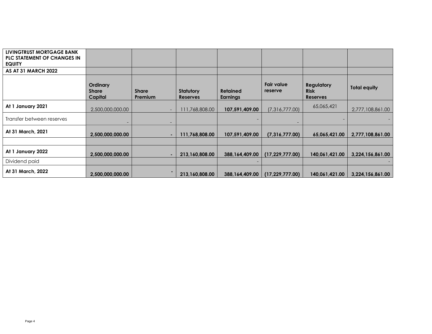| LIVINGTRUST MORTGAGE BANK<br><b>PLC STATEMENT OF CHANGES IN</b><br><b>EQUITY</b> |                                     |                                |                                     |                             |                       |                                                     |                     |
|----------------------------------------------------------------------------------|-------------------------------------|--------------------------------|-------------------------------------|-----------------------------|-----------------------|-----------------------------------------------------|---------------------|
| <b>AS AT 31 MARCH 2022</b>                                                       |                                     |                                |                                     |                             |                       |                                                     |                     |
|                                                                                  | Ordinary<br><b>Share</b><br>Capital | <b>Share</b><br><b>Premium</b> | <b>Statutory</b><br><b>Reserves</b> | <b>Retained</b><br>Earnings | Fair value<br>reserve | <b>Regulatory</b><br><b>Risk</b><br><b>Reserves</b> | <b>Total equity</b> |
| At 1 January 2021                                                                | 2,500,000,000.00                    |                                | 111,768,808.00                      | 107,591,409.00              | (7,316,777.00)        | 65,065,421                                          | 2,777,108,861.00    |
| Transfer between reserves                                                        |                                     |                                |                                     |                             |                       |                                                     |                     |
| At 31 March, 2021                                                                | 2,500,000,000.00                    |                                | 111,768,808.00                      | 107,591,409.00              | (7,316,777.00)        | 65,065,421.00                                       | 2,777,108,861.00    |
|                                                                                  |                                     |                                |                                     |                             |                       |                                                     |                     |
| At 1 January 2022                                                                | 2,500,000,000.00                    |                                | 213,160,808.00                      | 388,164,409.00              | (17, 229, 777, 00)    | 140,061,421.00                                      | 3,224,156,861.00    |
| Dividend paid                                                                    |                                     |                                |                                     |                             |                       |                                                     |                     |
| At 31 March, 2022                                                                | 2,500,000,000.00                    | ۰.                             | 213,160,808.00                      | 388,164,409.00              | (17, 229, 777.00)     | 140,061,421.00                                      | 3,224,156,861.00    |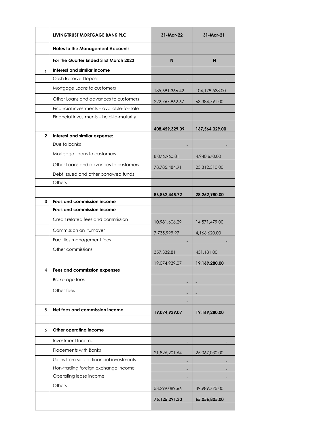|              | LIVINGTRUST MORTGAGE BANK PLC              | 31-Mar-22       | 31-Mar-21        |  |
|--------------|--------------------------------------------|-----------------|------------------|--|
|              | <b>Notes to the Management Accounts</b>    |                 |                  |  |
|              | For the Quarter Ended 31st March 2022      | N               | N                |  |
| 1            | Interest and similar income                |                 |                  |  |
|              | Cash Reserve Deposit                       |                 |                  |  |
|              | Mortgage Loans to customers                | 185,691,366.42  | 104, 179, 538.00 |  |
|              | Other Loans and advances to customers      | 222,767,962.67  | 63,384,791.00    |  |
|              | Financial investments - available-for-sale |                 |                  |  |
|              | Financial investments - held-to-maturity   |                 |                  |  |
|              |                                            | 408,459,329.09  | 167,564,329.00   |  |
| $\mathbf{2}$ | Interest and similar expense:              |                 |                  |  |
|              | Due to banks                               |                 |                  |  |
|              | Mortgage Loans to customers                | 8,076,960.81    | 4,940,670.00     |  |
|              | Other Loans and advances to customers      | 78,785,484.91   | 23,312,310.00    |  |
|              | Debt issued and other borrowed funds       |                 |                  |  |
|              | Others                                     |                 |                  |  |
|              |                                            | 86,862,445.72   | 28,252,980.00    |  |
| 3            | Fees and commission income                 |                 |                  |  |
|              | <b>Fees and commission income</b>          |                 |                  |  |
|              | Credit related fees and commission         | 10,981,606.29   | 14,571,479.00    |  |
|              | Commission on turnover                     | 7,735,999.97    | 4,166,620.00     |  |
|              | Facilities management fees                 |                 |                  |  |
|              | Other commissions                          | 357,332.81      | 431,181.00       |  |
|              |                                            | 19,074,939.07   | 19,169,280.00    |  |
| 4            | <b>Fees and commission expenses</b>        |                 |                  |  |
|              | <b>Brokerage fees</b>                      |                 |                  |  |
|              | Other fees                                 |                 |                  |  |
|              |                                            |                 |                  |  |
| 5            | Net fees and commission income             | 19,074,939.07   | 19,169,280.00    |  |
|              |                                            |                 |                  |  |
| 6            | Other operating income                     |                 |                  |  |
|              | Investment Income                          |                 |                  |  |
|              | <b>Placements with Banks</b>               | 21,826,201.64   | 25,067,030.00    |  |
|              | Gains from sale of financial investments   |                 |                  |  |
|              | Non-trading foreign exchange income        |                 |                  |  |
|              | Operating lease income                     |                 |                  |  |
|              | Others                                     | 53,299,089.66   | 39,989,775.00    |  |
|              |                                            | 75, 125, 291.30 | 65,056,805.00    |  |
|              |                                            |                 |                  |  |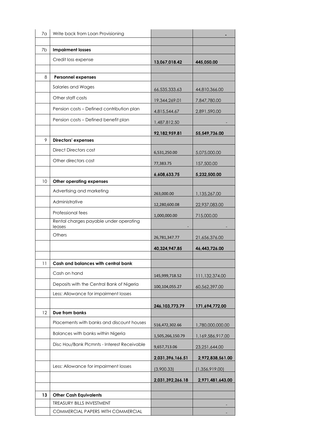| 7а | Write back from Loan Provisioning                |                   |                  |
|----|--------------------------------------------------|-------------------|------------------|
|    |                                                  |                   |                  |
| 7b | <b>Impairment losses</b>                         |                   |                  |
|    | Credit loss expense                              | 13,067,018.42     | 445,050.00       |
| 8  | <b>Personnel expenses</b>                        |                   |                  |
|    | Salaries and Wages                               |                   |                  |
|    |                                                  | 66,535,333.63     | 44,810,366.00    |
|    | Other staff costs                                | 19,344,269.01     | 7,847,780.00     |
|    | Pension costs - Defined contribution plan        | 4,815,544.67      | 2,891,590.00     |
|    | Pension costs - Defined benefit plan             | 1,487,812.50      |                  |
|    |                                                  | 92,182,959.81     | 55,549,736.00    |
| 9  | <b>Directors' expenses</b>                       |                   |                  |
|    | Direct Directors cost                            | 6,531,250.00      | 5,075,000.00     |
|    | Other directors cost                             | 77,383.75         | 157,500.00       |
|    |                                                  | 6,608,633.75      | 5,232,500.00     |
| 10 | Other operating expenses                         |                   |                  |
|    | Advertising and marketing                        | 263,000.00        | 1,135,267.00     |
|    | Administrative                                   | 12,280,600.08     | 22,937,083.00    |
|    | Professional fees                                | 1,000,000.00      | 715,000.00       |
|    | Rental charges payable under operating<br>leases |                   |                  |
|    | Others                                           | 26,781,347.77     | 21,656,376.00    |
|    |                                                  | 40,324,947.85     | 46,443,726.00    |
|    |                                                  |                   |                  |
| 11 | Cash and balances with central bank              |                   |                  |
|    | Cash on hand                                     | 145,999,718.52    | 111,132,374.00   |
|    | Deposits with the Central Bank of Nigeria        | 100,104,055.27    | 60,562,397.00    |
|    | Less: Allowance for impairment losses            |                   |                  |
|    |                                                  | 246, 103, 773. 79 | 171,694,772.00   |
| 12 | Due from banks                                   |                   |                  |
|    | Placements with banks and discount houses        | 516,472,302.66    | 1,780,000,000.00 |
|    | Balances with banks within Nigeria               | 1,505,266,150.79  | 1,169,586,917.00 |
|    | Disc Hou/Bank Plcmnts - Interest Receivable      | 9,657,713.06      | 23,251,644.00    |
|    |                                                  | 2,031,396,166.51  | 2,972,838,561.00 |
|    | Less: Allowance for impairment losses            | (3,900.33)        | (1,356,919.00)   |
|    |                                                  | 2,031,392,266.18  | 2,971,481,643.00 |
| 13 | <b>Other Cash Equivalents</b>                    |                   |                  |
|    | TREASURY BILLS INVESTMENT                        |                   |                  |
|    | COMMERCIAL PAPERS WITH COMMERCIAL                |                   |                  |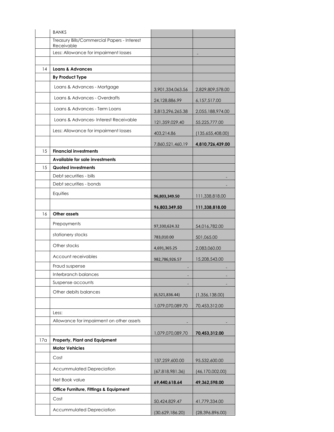|     | <b>BANKS</b>                                              |                   |                   |
|-----|-----------------------------------------------------------|-------------------|-------------------|
|     | Treasury Bills/Commercial Papers - Interest<br>Receivable |                   |                   |
|     | Less: Allowance for impairment losses                     |                   |                   |
|     |                                                           |                   |                   |
| 14  | <b>Loans &amp; Advances</b>                               |                   |                   |
|     | <b>By Product Type</b>                                    |                   |                   |
|     | Loans & Advances - Mortgage                               | 3,901,334,063.56  | 2,829,809,578.00  |
|     | Loans & Advances - Overdrafts                             | 24,128,886.99     | 6,157,517.00      |
|     | Loans & Advances - Term Loans                             | 3,813,296,265.38  | 2,055,188,974.00  |
|     | Loans & Advances-Interest Receivable                      | 121, 359, 029. 40 | 55,225,777.00     |
|     | Less: Allowance for impairment losses                     | 403,214.86        | (135,655,408.00)  |
|     |                                                           | 7,860,521,460.19  | 4,810,726,439.00  |
| 15  | <b>Financial investments</b>                              |                   |                   |
|     | Available for sale investments                            |                   |                   |
| 15  | Quoted investments                                        |                   |                   |
|     | Debt securities - bills                                   |                   |                   |
|     | Debt securities - bonds                                   |                   |                   |
|     | Equities                                                  | 96,803,349.50     | 111,338,818.00    |
|     |                                                           | 96,803,349.50     | 111,338,818.00    |
| 16  | Other assets                                              |                   |                   |
|     | Prepayments                                               | 97,330,624.32     | 54,016,782.00     |
|     | stationery stocks                                         | 783,010.00        | 501,065.00        |
|     | Other stocks                                              | 4,691,365.25      | 2,083,060.00      |
|     | Account receivables                                       | 982,786,926.57    | 15,208,543.00     |
|     | Fraud suspense                                            |                   |                   |
|     | Interbranch balances                                      |                   |                   |
|     | Suspense accounts                                         |                   |                   |
|     | Other debits balances                                     | (6,521,836.44)    | (1,356,138.00)    |
|     |                                                           | 1,079,070,089.70  | 70,453,312.00     |
|     | Less:                                                     |                   |                   |
|     | Allowance for impairment on other assets                  |                   |                   |
|     |                                                           | 1,079,070,089.70  | 70,453,312.00     |
| 17a | Property, Plant and Equipment                             |                   |                   |
|     | <b>Motor Vehicles</b>                                     |                   |                   |
|     | Cost                                                      | 137,259,600.00    | 95,532,600.00     |
|     | Accummulated Depreciation                                 | (67, 818, 981.36) | (46, 170, 002.00) |
|     | Net Book value                                            | 69,440,618.64     | 49,362,598.00     |
|     | Office Furniture, Fittings & Equipment                    |                   |                   |
|     | Cost                                                      | 50,424,829.47     | 41,779,334.00     |
|     | Accummulated Depreciation                                 | (30,629,186.20)   | (28, 396, 896.00) |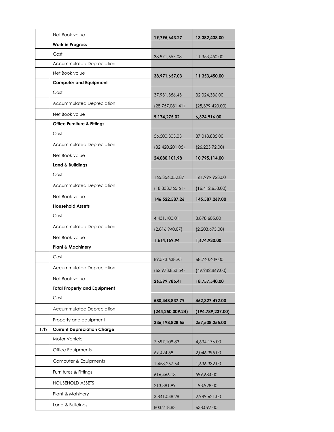|                 | Net Book value                         | 19,795,643.27      | 13,382,438.00      |  |
|-----------------|----------------------------------------|--------------------|--------------------|--|
|                 | <b>Work in Progress</b>                |                    |                    |  |
|                 | Cost                                   | 38,971,657.03      | 11,353,450.00      |  |
|                 | <b>Accummulated Depreciation</b>       |                    |                    |  |
|                 | Net Book value                         | 38,971,657.03      | 11,353,450.00      |  |
|                 | <b>Computer and Equipment</b>          |                    |                    |  |
|                 | Cost                                   | 37,931,356.43      | 32,024,336.00      |  |
|                 | Accummulated Depreciation              | (28, 757, 081.41)  | (25, 399, 420.00)  |  |
|                 | Net Book value                         | 9,174,275.02       | 6,624,916.00       |  |
|                 | <b>Office Furniture &amp; Fittings</b> |                    |                    |  |
|                 | Cost                                   | 56,500,303.03      | 37,018,835.00      |  |
|                 | <b>Accummulated Depreciation</b>       | (32, 420, 201.05)  | (26, 223, 72.00)   |  |
|                 | Net Book value                         | 24,080,101.98      | 10,795,114.00      |  |
|                 | <b>Land &amp; Buildings</b>            |                    |                    |  |
|                 | Cost                                   | 165,356,352.87     | 161,999,923.00     |  |
|                 | <b>Accummulated Depreciation</b>       | (18,833,765.61)    | (16, 412, 653.00)  |  |
|                 | Net Book value                         | 146,522,587.26     | 145,587,269.00     |  |
|                 | <b>Household Assets</b>                |                    |                    |  |
|                 | Cost                                   | 4,431,100.01       | 3,878,605.00       |  |
|                 | <b>Accummulated Depreciation</b>       | (2,816,940.07)     | (2,203,675.00)     |  |
|                 | Net Book value                         | 1,614,159.94       | 1,674,930.00       |  |
|                 | <b>Plant &amp; Machinery</b>           |                    |                    |  |
|                 | Cost                                   | 89,573,638.95      | 68,740,409.00      |  |
|                 | Accummulated Depreciation              | (62,973,853.54)    | (49,982,869.00)    |  |
|                 | Net Book value                         | 26,599,785.41      | 18,757,540.00      |  |
|                 | <b>Total Property and Equipment</b>    |                    |                    |  |
|                 | Cost                                   | 580,448,837.79     | 452,327,492.00     |  |
|                 | Accummulated Depreciation              | (244, 250, 009.24) | (194, 789, 237.00) |  |
|                 | Property and equipment                 | 336,198,828.55     | 257,538,255.00     |  |
| 17 <sub>b</sub> | <b>Current Depreciation Charge</b>     |                    |                    |  |
|                 | Motor Vehicle                          | 7,697,109.83       | 4,634,176.00       |  |
|                 | Office Equipments                      | 69,424.58          | 2,046,395.00       |  |
|                 | Computer & Equipments                  | 1,458,267.64       | 1,636,332.00       |  |
|                 | Furnitures & Fittings                  | 616,466.13         | 599,684.00         |  |
|                 | <b>HOUSEHOLD ASSETS</b>                | 213,381.99         | 193,928.00         |  |
|                 | Plant & Mahinery                       | 3,841,048.28       | 2,989,621.00       |  |
|                 | Land & Buildings                       | 803,218.83         | 638,097.00         |  |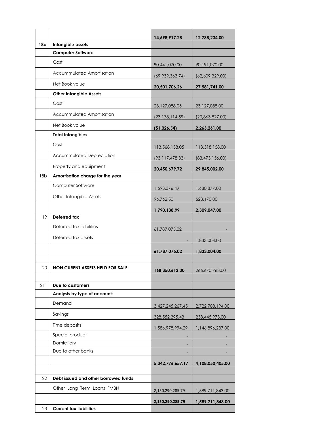|                 |                                        | 14,698,917.28     | 12,738,234.00     |
|-----------------|----------------------------------------|-------------------|-------------------|
| 18 <sub>a</sub> | Intangible assets                      |                   |                   |
|                 | <b>Computer Software</b>               |                   |                   |
|                 | Cost                                   | 90,441,070.00     | 90,191,070.00     |
|                 | <b>Accummulated Amortisation</b>       | (69,939,363.74)   | (62,609,329.00)   |
|                 | Net Book value                         | 20,501,706.26     | 27,581,741.00     |
|                 | <b>Other Intangible Assets</b>         |                   |                   |
|                 | Cost                                   | 23,127,088.05     | 23,127,088.00     |
|                 | Accummulated Amortisation              | (23, 178, 114.59) | (20,863,827.00)   |
|                 | Net Book value                         | (51,026.54)       | 2,263,261.00      |
|                 | <b>Total Intangibles</b>               |                   |                   |
|                 | Cost                                   | 113,568,158.05    | 113,318,158.00    |
|                 | Accummulated Depreciation              | (93, 117, 478.33) | (83, 473, 156.00) |
|                 | Property and equipment                 | 20,450,679.72     | 29,845,002.00     |
| 18 <sub>b</sub> | Amortisation charge for the year       |                   |                   |
|                 | Computer Software                      | 1,693,376.49      | 1,680,877.00      |
|                 | Other Intangible Assets                | 96,762.50         | 628,170.00        |
|                 |                                        | 1,790,138.99      | 2,309,047.00      |
| 19              | Deferred tax                           |                   |                   |
|                 | Deferred tax laibilities               | 61,787,075.02     |                   |
|                 | Deferred tax assets                    |                   | 1,833,004.00      |
|                 |                                        | 61,787,075.02     | 1,833,004.00      |
|                 |                                        |                   |                   |
| 20              | <b>NON CURENT ASSETS HELD FOR SALE</b> | 168,350,612.30    | 266,670,763.00    |
|                 |                                        |                   |                   |
| 21              | Due to customers                       |                   |                   |
|                 | Analysis by type of account:           |                   |                   |
|                 | Demand                                 | 3,427,245,267.45  | 2,722,708,194.00  |
|                 | Savings                                | 328,552,395.43    | 238,445,973.00    |
|                 | Time deposits                          | 1,586,978,994.29  | 1,146,896,237.00  |
|                 | Special product                        |                   |                   |
|                 | Domiciliary                            |                   |                   |
|                 | Due to other banks                     |                   |                   |
|                 |                                        | 5,342,776,657.17  | 4,108,050,405.00  |
| 22              | Debt issued and other borrowed funds   |                   |                   |
|                 | Other Long Term Loans FMBN             |                   |                   |
|                 |                                        | 2,150,290,285.79  | 1,589,711,843.00  |
|                 |                                        | 2,150,290,285.79  | 1,589,711,843.00  |
| 23              | <b>Current tax liabilities</b>         |                   |                   |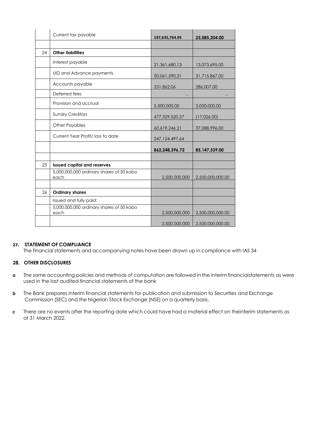|    | Current tax payable                              | 197,635,764.95   | 25,085,204.00    |
|----|--------------------------------------------------|------------------|------------------|
|    |                                                  |                  |                  |
| 24 | <b>Other liabilities</b>                         |                  |                  |
|    | Interest payable                                 | 21,361,680.13    | 13,073,695.00    |
|    | UID and Advance payments                         | 50,061,590.31    | 31,715,867.00    |
|    | Accounts payable                                 | 251,862.06       | 286,007.00       |
|    | Deferred fees                                    |                  |                  |
|    | Provision and accrual                            | 5,500,000.00     | 3,000,000.00     |
|    | <b>Sundry Creditors</b>                          | 477,329,520.37   | (17,026.00)      |
|    | <b>Other Payables</b>                            | 60,619,246.21    | 37,088,996.00    |
|    | Current Year Profit/ loss to date                | 247, 124, 497.64 |                  |
|    |                                                  | 862,248,396.72   | 85, 147, 539.00  |
|    |                                                  |                  |                  |
| 25 | <b>Issued capital and reserves</b>               |                  |                  |
|    | 5,000,000,000 ordinary shares of 50 kobo<br>each | 2,500,000,000    | 2,500,000,000.00 |
|    |                                                  |                  |                  |
| 26 | <b>Ordinary shares</b>                           |                  |                  |
|    | Issued and fully paid:                           |                  |                  |
|    | 5,000,000,000 ordinary shares of 50 kobo<br>each | 2,500,000,000    | 2,500,000,000.00 |
|    |                                                  | 2,500,000,000    | 2,500,000,000.00 |

## **27. STATEMENT OF COMPLIANCE**

The financial statements and accompanying notes have been drawn up in compliance with IAS 34

# **28. OTHER DISCLOSURES**

- **a** The same accounting policies and methods of computation are followed in the interim financialstatements as were used in the last audited financial statements of the bank
- **b** The Bank prepares interim financial statements for publication and submission to Securities and Exchange Commission (SEC) and the Nigerian Stock Exchange (NSE) on a quarterly basis.
- **c** There are no events after the reporting date which could have had a material effect on theinterim statements as at 31 March 2022.